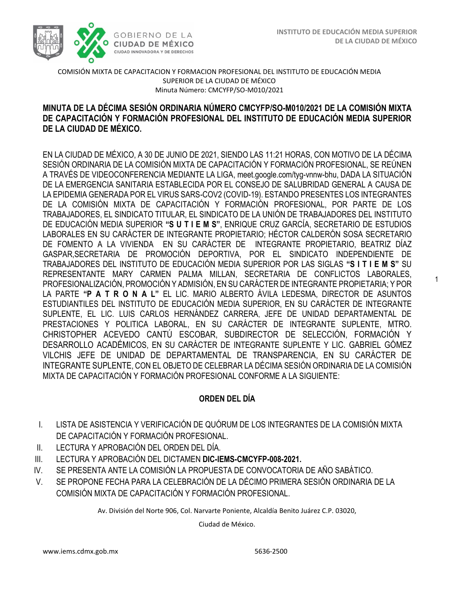1



COMISIÓN MIXTA DE CAPACITACION Y FORMACION PROFESIONAL DEL INSTITUTO DE EDUCACIÓN MEDIA SUPERIOR DE LA CIUDAD DE MÉXICO Minuta Número: CMCYFP/SO-M010/2021

# DE CAPACITACIÓN Y FORMACIÓN PROFESIONAL DEL INSTITUTO DE EDUCACIÓN MEDIA SUPERIOR  **DE LA CIUDAD DE MÉXICO. MINUTA DE LA DÉCIMA SESIÓN ORDINARIA NÚMERO CMCYFP/SO-M010/2021 DE LA COMISIÓN MIXTA**

EN LA CIUDAD DE MÉXICO, A 30 DE JUNIO DE 2021, SIENDO LAS 11:21 HORAS, CON MOTIVO DE LA DÉCIMA SESIÓN ORDINARIA DE LA COMISIÓN MIXTA DE CAPACITACIÓN Y FORMACIÓN PROFESIONAL, SE REÚNEN A TRAVÉS DE VIDEOCONFERENCIA MEDIANTE LA LIGA, meet.google.com/tyg-vnnw-bhu, DADA LA SITUACIÓN DE LA EMERGENCIA SANITARIA ESTABLECIDA POR EL CONSEJO DE SALUBRIDAD GENERAL A CAUSA DE LA EPIDEMIA GENERADA POR EL VIRUS SARS-COV2 (COVID-19). ESTANDO PRESENTES LOS INTEGRANTES DE LA COMISIÓN MIXTA DE CAPACITACIÓN Y FORMACIÓN PROFESIONAL, POR PARTE DE LOS TRABAJADORES, EL SINDICATO TITULAR, EL SINDICATO DE LA UNIÓN DE TRABAJADORES DEL INSTITUTO DE EDUCACIÓN MEDIA SUPERIOR **"S U T I E M S"**, ENRIQUE CRUZ GARCÍA, SECRETARIO DE ESTUDIOS LABORALES EN SU CARÁCTER DE INTEGRANTE PROPIETARIO; HÉCTOR CALDERÓN SOSA SECRETARIO DE FOMENTO A LA VIVIENDA EN SU CARÁCTER DE INTEGRANTE PROPIETARIO, BEATRIZ DÍAZ GASPAR,SECRETARIA DE PROMOCIÓN DEPORTIVA, POR EL SINDICATO INDEPENDIENTE DE TRABAJADORES DEL INSTITUTO DE EDUCACIÓN MEDIA SUPERIOR POR LAS SIGLAS **"S I T I E M S"** SU REPRESENTANTE MARY CARMEN PALMA MILLAN, SECRETARIA DE CONFLICTOS LABORALES, PROFESIONALIZACIÓN, PROMOCIÓN Y ADMISIÓN, EN SU CARÁCTER DE INTEGRANTE PROPIETARIA; Y POR LA PARTE **"P A T R O N A L"** EL LIC. MARIO ALBERTO ÁVILA LEDESMA, DIRECTOR DE ASUNTOS ESTUDIANTILES DEL INSTITUTO DE EDUCACIÓN MEDIA SUPERIOR, EN SU CARÁCTER DE INTEGRANTE SUPLENTE, EL LIC. LUIS CARLOS HERNÁNDEZ CARRERA, JEFE DE UNIDAD DEPARTAMENTAL DE PRESTACIONES Y POLITICA LABORAL, EN SU CARÁCTER DE INTEGRANTE SUPLENTE, MTRO. CHRISTOPHER ACEVEDO CANTÚ ESCOBAR, SUBDIRECTOR DE SELECCIÓN, FORMACIÓN Y DESARROLLO ACADÉMICOS, EN SU CARÁCTER DE INTEGRANTE SUPLENTE Y LIC. GABRIEL GÓMEZ VILCHIS JEFE DE UNIDAD DE DEPARTAMENTAL DE TRANSPARENCIA, EN SU CARÁCTER DE INTEGRANTE SUPLENTE, CON EL OBJETO DE CELEBRAR LA DÉCIMA SESIÓN ORDINARIA DE LA COMISIÓN MIXTA DE CAPACITACIÓN Y FORMACIÓN PROFESIONAL CONFORME A LA SIGUIENTE:

# **ORDEN DEL DÍA**

- I. LISTA DE ASISTENCIA Y VERIFICACIÓN DE QUÓRUM DE LOS INTEGRANTES DE LA COMISIÓN MIXTA DE CAPACITACIÓN Y FORMACIÓN PROFESIONAL.
- II. LECTURA Y APROBACIÓN DEL ORDEN DEL DÍA.
- III. LECTURA Y APROBACIÓN DEL DICTAMEN **DIC-IEMS-CMCYFP-008-2021.**
- IV. SE PRESENTA ANTE LA COMISIÓN LA PROPUESTA DE CONVOCATORIA DE AÑO SABÁTICO.
- V. SE PROPONE FECHA PARA LA CELEBRACIÓN DE LA DÉCIMO PRIMERA SESIÓN ORDINARIA DE LA COMISIÓN MIXTA DE CAPACITACIÓN Y FORMACIÓN PROFESIONAL.

Av. División del Norte 906, Col. Narvarte Poniente, Alcaldía Benito Juárez C.P. 03020,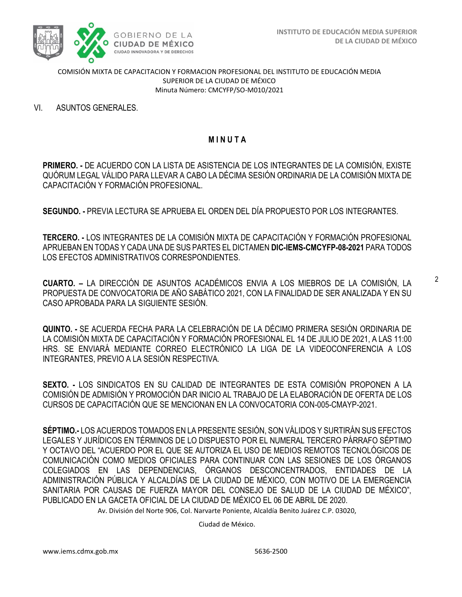

VI. ASUNTOS GENERALES.

## **M I N U T A**

**PRIMERO. -** DE ACUERDO CON LA LISTA DE ASISTENCIA DE LOS INTEGRANTES DE LA COMISIÓN, EXISTE QUÓRUM LEGAL VÁLIDO PARA LLEVAR A CABO LA DÉCIMA SESIÓN ORDINARIA DE LA COMISIÓN MIXTA DE CAPACITACIÓN Y FORMACIÓN PROFESIONAL.

**SEGUNDO. -** PREVIA LECTURA SE APRUEBA EL ORDEN DEL DÍA PROPUESTO POR LOS INTEGRANTES.

**TERCERO. -** LOS INTEGRANTES DE LA COMISIÓN MIXTA DE CAPACITACIÓN Y FORMACIÓN PROFESIONAL APRUEBAN EN TODAS Y CADA UNA DE SUS PARTES EL DICTAMEN **DIC-IEMS-CMCYFP-08-2021** PARA TODOS LOS EFECTOS ADMINISTRATIVOS CORRESPONDIENTES.

**CUARTO. –** LA DIRECCIÓN DE ASUNTOS ACADÉMICOS ENVIA A LOS MIEBROS DE LA COMISIÓN, LA PROPUESTA DE CONVOCATORIA DE AÑO SABÁTICO 2021, CON LA FINALIDAD DE SER ANALIZADA Y EN SU CASO APROBADA PARA LA SIGUIENTE SESIÓN.

**QUINTO. -** SE ACUERDA FECHA PARA LA CELEBRACIÓN DE LA DÉCIMO PRIMERA SESIÓN ORDINARIA DE LA COMISIÓN MIXTA DE CAPACITACIÓN Y FORMACIÓN PROFESIONAL EL 14 DE JULIO DE 2021, A LAS 11:00 HRS. SE ENVIARÁ MEDIANTE CORREO ELECTRÓNICO LA LIGA DE LA VIDEOCONFERENCIA A LOS INTEGRANTES, PREVIO A LA SESIÓN RESPECTIVA.

**SEXTO. -** LOS SINDICATOS EN SU CALIDAD DE INTEGRANTES DE ESTA COMISIÓN PROPONEN A LA COMISIÓN DE ADMISIÓN Y PROMOCIÓN DAR INICIO AL TRABAJO DE LA ELABORACIÓN DE OFERTA DE LOS CURSOS DE CAPACITACIÓN QUE SE MENCIONAN EN LA CONVOCATORIA CON-005-CMAYP-2021.

**SÉPTIMO.-** LOS ACUERDOS TOMADOS EN LA PRESENTE SESIÓN, SON VÁLIDOS Y SURTIRÁN SUS EFECTOS LEGALES Y JURÍDICOS EN TÉRMINOS DE LO DISPUESTO POR EL NUMERAL TERCERO PÁRRAFO SÉPTIMO Y OCTAVO DEL "ACUERDO POR EL QUE SE AUTORIZA EL USO DE MEDIOS REMOTOS TECNOLÓGICOS DE COMUNICACIÓN COMO MEDIOS OFICIALES PARA CONTINUAR CON LAS SESIONES DE LOS ÓRGANOS COLEGIADOS EN LAS DEPENDENCIAS, ÓRGANOS DESCONCENTRADOS, ENTIDADES DE LA ADMINISTRACIÓN PÚBLICA Y ALCALDÍAS DE LA CIUDAD DE MÉXICO, CON MOTIVO DE LA EMERGENCIA SANITARIA POR CAUSAS DE FUERZA MAYOR DEL CONSEJO DE SALUD DE LA CIUDAD DE MÉXICO", PUBLICADO EN LA GACETA OFICIAL DE LA CIUDAD DE MÉXICO EL 06 DE ABRIL DE 2020.

Av. División del Norte 906, Col. Narvarte Poniente, Alcaldía Benito Juárez C.P. 03020,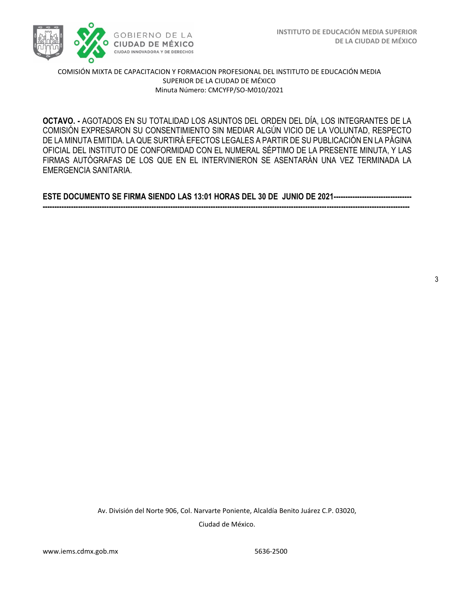

OCTAVO. - AGOTADOS EN SU TOTALIDAD LOS ASUNTOS DEL ORDEN DEL DÍA, LOS INTEGRANTES DE LA  COMISIÓN EXPRESARON SU CONSENTIMIENTO SIN MEDIAR ALGÚN VICIO DE LA VOLUNTAD, RESPECTO DE LA MINUTA EMITIDA. LA QUE SURTIRÁ EFECTOS LEGALES A PARTIR DE SU PUBLICACIÓN EN LA PÁGINA OFICIAL DEL INSTITUTO DE CONFORMIDAD CON EL NUMERAL SÉPTIMO DE LA PRESENTE MINUTA, Y LAS FIRMAS AUTÓGRAFAS DE LOS QUE EN EL INTERVINIERON SE ASENTARÁN UNA VEZ TERMINADA LA EMERGENCIA SANITARIA.

**ESTE DOCUMENTO SE FIRMA SIENDO LAS 13:01 HORAS DEL 30 DE JUNIO DE 2021--------------------------------- -----------------------------------------------------------------------------------------------------------------------------------------------------------**

3

Av. División del Norte 906, Col. Narvarte Poniente, Alcaldía Benito Juárez C.P. 03020, Ciudad de México.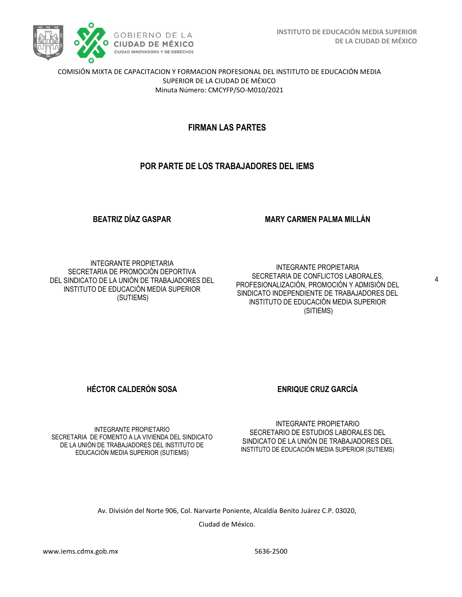

# **FIRMAN LAS PARTES**

# **POR PARTE DE LOS TRABAJADORES DEL IEMS**

## **BEATRIZ DÍAZ GASPAR**

## **MARY CARMEN PALMA MILLÁN**

INTEGRANTE PROPIETARIA SECRETARIA DE PROMOCIÓN DEPORTIVA DEL SINDICATO DE LA UNIÓN DE TRABAJADORES DEL INSTITUTO DE EDUCACIÓN MEDIA SUPERIOR (SUTIEMS)

INTEGRANTE PROPIETARIA SECRETARIA DE CONFLICTOS LABORALES, PROFESIONALIZACIÓN, PROMOCIÓN Y ADMISIÓN DEL SINDICATO INDEPENDIENTE DE TRABAJADORES DEL INSTITUTO DE EDUCACIÓN MEDIA SUPERIOR (SITIEMS)

**HÉCTOR CALDERÓN SOSA ENRIQUE CRUZ GARCÍA** 

INTEGRANTE PROPIETARIO SECRETARIA DE FOMENTO A LA VIVIENDA DEL SINDICATO DE LA UNIÓN DE TRABAJADORES DEL INSTITUTO DE EDUCACIÓN MEDIA SUPERIOR (SUTIEMS)

INTEGRANTE PROPIETARIO SECRETARIO DE ESTUDIOS LABORALES DEL SINDICATO DE LA UNIÓN DE TRABAJADORES DEL INSTITUTO DE EDUCACIÓN MEDIA SUPERIOR (SUTIEMS)

Av. División del Norte 906, Col. Narvarte Poniente, Alcaldía Benito Juárez C.P. 03020,